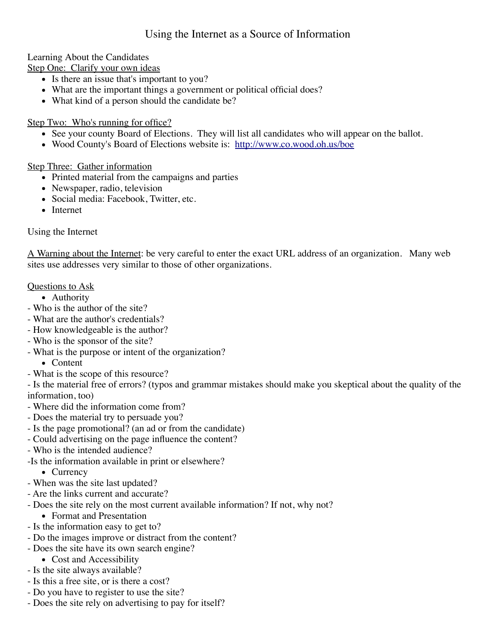# Using the Internet as a Source of Information

## Learning About the Candidates

Step One: Clarify your own ideas

- Is there an issue that's important to you?
- What are the important things a government or political official does?
- What kind of a person should the candidate be?

#### Step Two: Who's running for office?

- See your county Board of Elections. They will list all candidates who will appear on the ballot.
- Wood County's Board of Elections website is: <http://www.co.wood.oh.us/boe>

#### Step Three: Gather information

- Printed material from the campaigns and parties
- Newspaper, radio, television
- Social media: Facebook, Twitter, etc.
- Internet

#### Using the Internet

A Warning about the Internet: be very careful to enter the exact URL address of an organization. Many web sites use addresses very similar to those of other organizations.

#### Questions to Ask

- Authority
- Who is the author of the site?
- What are the author's credentials?
- How knowledgeable is the author?
- Who is the sponsor of the site?
- What is the purpose or intent of the organization?
	- Content
- What is the scope of this resource?

- Is the material free of errors? (typos and grammar mistakes should make you skeptical about the quality of the information, too)

- Where did the information come from?
- Does the material try to persuade you?
- Is the page promotional? (an ad or from the candidate)
- Could advertising on the page influence the content?
- Who is the intended audience?
- -Is the information available in print or elsewhere?
	- Currency
- When was the site last updated?
- Are the links current and accurate?
- Does the site rely on the most current available information? If not, why not?
	- Format and Presentation
- Is the information easy to get to?
- Do the images improve or distract from the content?
- Does the site have its own search engine?
	- Cost and Accessibility
- Is the site always available?
- Is this a free site, or is there a cost?
- Do you have to register to use the site?
- Does the site rely on advertising to pay for itself?